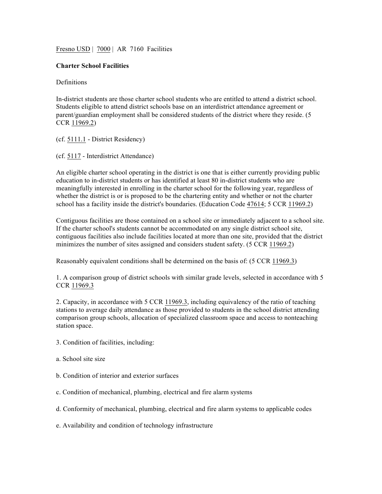Fresno USD | 7000 | AR 7160 Facilities

## **Charter School Facilities**

## Definitions

In-district students are those charter school students who are entitled to attend a district school. Students eligible to attend district schools base on an interdistrict attendance agreement or parent/guardian employment shall be considered students of the district where they reside. (5 CCR 11969.2)

(cf. 5111.1 - District Residency)

(cf. 5117 - Interdistrict Attendance)

An eligible charter school operating in the district is one that is either currently providing public education to in-district students or has identified at least 80 in-district students who are meaningfully interested in enrolling in the charter school for the following year, regardless of whether the district is or is proposed to be the chartering entity and whether or not the charter school has a facility inside the district's boundaries. (Education Code 47614; 5 CCR 11969.2)

Contiguous facilities are those contained on a school site or immediately adjacent to a school site. If the charter school's students cannot be accommodated on any single district school site, contiguous facilities also include facilities located at more than one site, provided that the district minimizes the number of sites assigned and considers student safety. (5 CCR 11969.2)

Reasonably equivalent conditions shall be determined on the basis of: (5 CCR 11969.3)

1. A comparison group of district schools with similar grade levels, selected in accordance with 5 CCR 11969.3

2. Capacity, in accordance with 5 CCR 11969.3, including equivalency of the ratio of teaching stations to average daily attendance as those provided to students in the school district attending comparison group schools, allocation of specialized classroom space and access to nonteaching station space.

- 3. Condition of facilities, including:
- a. School site size
- b. Condition of interior and exterior surfaces
- c. Condition of mechanical, plumbing, electrical and fire alarm systems
- d. Conformity of mechanical, plumbing, electrical and fire alarm systems to applicable codes
- e. Availability and condition of technology infrastructure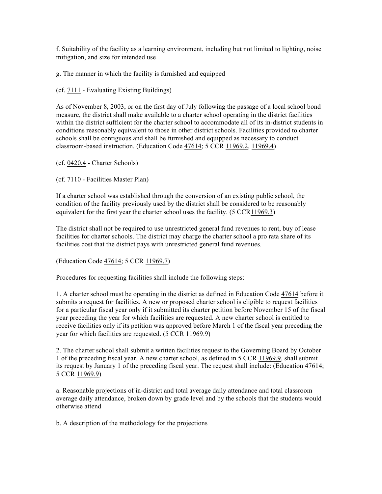f. Suitability of the facility as a learning environment, including but not limited to lighting, noise mitigation, and size for intended use

g. The manner in which the facility is furnished and equipped

(cf. 7111 - Evaluating Existing Buildings)

As of November 8, 2003, or on the first day of July following the passage of a local school bond measure, the district shall make available to a charter school operating in the district facilities within the district sufficient for the charter school to accommodate all of its in-district students in conditions reasonably equivalent to those in other district schools. Facilities provided to charter schools shall be contiguous and shall be furnished and equipped as necessary to conduct classroom-based instruction. (Education Code 47614; 5 CCR 11969.2, 11969.4)

(cf. 0420.4 - Charter Schools)

(cf. 7110 - Facilities Master Plan)

If a charter school was established through the conversion of an existing public school, the condition of the facility previously used by the district shall be considered to be reasonably equivalent for the first year the charter school uses the facility. (5 CCR11969.3)

The district shall not be required to use unrestricted general fund revenues to rent, buy of lease facilities for charter schools. The district may charge the charter school a pro rata share of its facilities cost that the district pays with unrestricted general fund revenues.

(Education Code 47614; 5 CCR 11969.7)

Procedures for requesting facilities shall include the following steps:

1. A charter school must be operating in the district as defined in Education Code 47614 before it submits a request for facilities. A new or proposed charter school is eligible to request facilities for a particular fiscal year only if it submitted its charter petition before November 15 of the fiscal year preceding the year for which facilities are requested. A new charter school is entitled to receive facilities only if its petition was approved before March 1 of the fiscal year preceding the year for which facilities are requested. (5 CCR 11969.9)

2. The charter school shall submit a written facilities request to the Governing Board by October 1 of the preceding fiscal year. A new charter school, as defined in 5 CCR 11969.9, shall submit its request by January 1 of the preceding fiscal year. The request shall include: (Education 47614; 5 CCR 11969.9)

a. Reasonable projections of in-district and total average daily attendance and total classroom average daily attendance, broken down by grade level and by the schools that the students would otherwise attend

b. A description of the methodology for the projections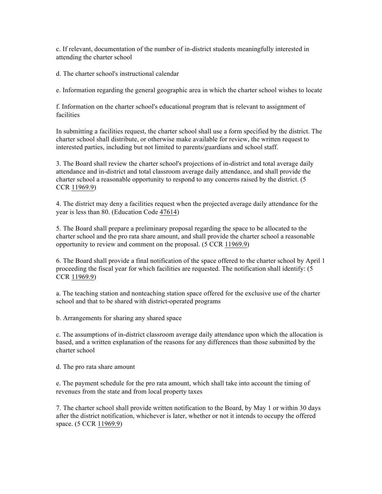c. If relevant, documentation of the number of in-district students meaningfully interested in attending the charter school

d. The charter school's instructional calendar

e. Information regarding the general geographic area in which the charter school wishes to locate

f. Information on the charter school's educational program that is relevant to assignment of facilities

In submitting a facilities request, the charter school shall use a form specified by the district. The charter school shall distribute, or otherwise make available for review, the written request to interested parties, including but not limited to parents/guardians and school staff.

3. The Board shall review the charter school's projections of in-district and total average daily attendance and in-district and total classroom average daily attendance, and shall provide the charter school a reasonable opportunity to respond to any concerns raised by the district. (5 CCR 11969.9)

4. The district may deny a facilities request when the projected average daily attendance for the year is less than 80. (Education Code 47614)

5. The Board shall prepare a preliminary proposal regarding the space to be allocated to the charter school and the pro rata share amount, and shall provide the charter school a reasonable opportunity to review and comment on the proposal. (5 CCR 11969.9)

6. The Board shall provide a final notification of the space offered to the charter school by April 1 proceeding the fiscal year for which facilities are requested. The notification shall identify: (5 CCR 11969.9)

a. The teaching station and nonteaching station space offered for the exclusive use of the charter school and that to be shared with district-operated programs

b. Arrangements for sharing any shared space

c. The assumptions of in-district classroom average daily attendance upon which the allocation is based, and a written explanation of the reasons for any differences than those submitted by the charter school

d. The pro rata share amount

e. The payment schedule for the pro rata amount, which shall take into account the timing of revenues from the state and from local property taxes

7. The charter school shall provide written notification to the Board, by May 1 or within 30 days after the district notification, whichever is later, whether or not it intends to occupy the offered space. (5 CCR 11969.9)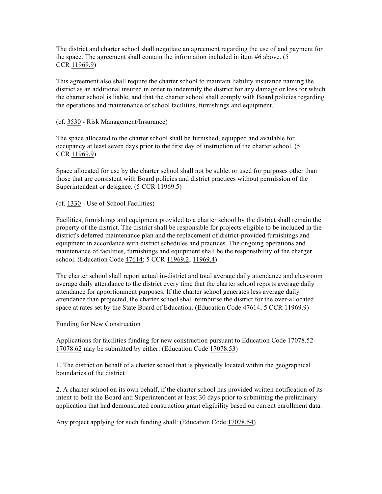The district and charter school shall negotiate an agreement regarding the use of and payment for the space. The agreement shall contain the information included in item #6 above. (5 CCR 11969.9)

This agreement also shall require the charter school to maintain liability insurance naming the district as an additional insured in order to indemnify the district for any damage or loss for which the charter school is liable, and that the charter school shall comply with Board policies regarding the operations and maintenance of school facilities, furnishings and equipment.

## (cf. 3530 - Risk Management/Insurance)

The space allocated to the charter school shall be furnished, equipped and available for occupancy at least seven days prior to the first day of instruction of the charter school. (5 CCR 11969.9)

Space allocated for use by the charter school shall not be sublet or used for purposes other than those that are consistent with Board policies and district practices without permission of the Superintendent or designee. (5 CCR 11969.5)

(cf. 1330 - Use of School Facilities)

Facilities, furnishings and equipment provided to a charter school by the district shall remain the property of the district. The district shall be responsible for projects eligible to be included in the district's deferred maintenance plan and the replacement of district-provided furnishings and equipment in accordance with district schedules and practices. The ongoing operations and maintenance of facilities, furnishings and equipment shall be the responsibility of the charger school. (Education Code 47614; 5 CCR 11969.2, 11969.4)

The charter school shall report actual in-district and total average daily attendance and classroom average daily attendance to the district every time that the charter school reports average daily attendance for apportionment purposes. If the charter school generates less average daily attendance than projected, the charter school shall reimburse the district for the over-allocated space at rates set by the State Board of Education. (Education Code 47614; 5 CCR 11969.9)

Funding for New Construction

Applications for facilities funding for new construction pursuant to Education Code 17078.52- 17078.62 may be submitted by either: (Education Code 17078.53)

1. The district on behalf of a charter school that is physically located within the geographical boundaries of the district

2. A charter school on its own behalf, if the charter school has provided written notification of its intent to both the Board and Superintendent at least 30 days prior to submitting the preliminary application that had demonstrated construction grant eligibility based on current enrollment data.

Any project applying for such funding shall: (Education Code 17078.54)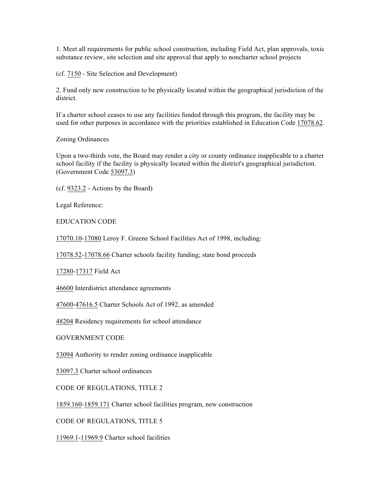1. Meet all requirements for public school construction, including Field Act, plan approvals, toxic substance review, site selection and site approval that apply to noncharter school projects

(cf. 7150 - Site Selection and Development)

2. Fund only new construction to be physically located within the geographical jurisdiction of the district.

If a charter school ceases to use any facilities funded through this program, the facility may be used for other purposes in accordance with the priorities established in Education Code 17078.62.

Zoning Ordinances

Upon a two-thirds vote, the Board may render a city or county ordinance inapplicable to a charter school facility if the facility is physically located within the district's geographical jurisdiction. (Government Code 53097.3)

(cf. 9323.2 - Actions by the Board)

Legal Reference:

EDUCATION CODE

17070.10-17080 Leroy F. Greene School Facilities Act of 1998, including:

17078.52-17078.66 Charter schools facility funding; state bond proceeds

17280-17317 Field Act

46600 Interdistrict attendance agreements

47600-47616.5 Charter Schools Act of 1992, as amended

48204 Residency requirements for school attendance

GOVERNMENT CODE

53094 Authority to render zoning ordinance inapplicable

53097.3 Charter school ordinances

CODE OF REGULATIONS, TITLE 2

1859.160-1859.171 Charter school facilities program, new construction

CODE OF REGULATIONS, TITLE 5

11969.1-11969.9 Charter school facilities